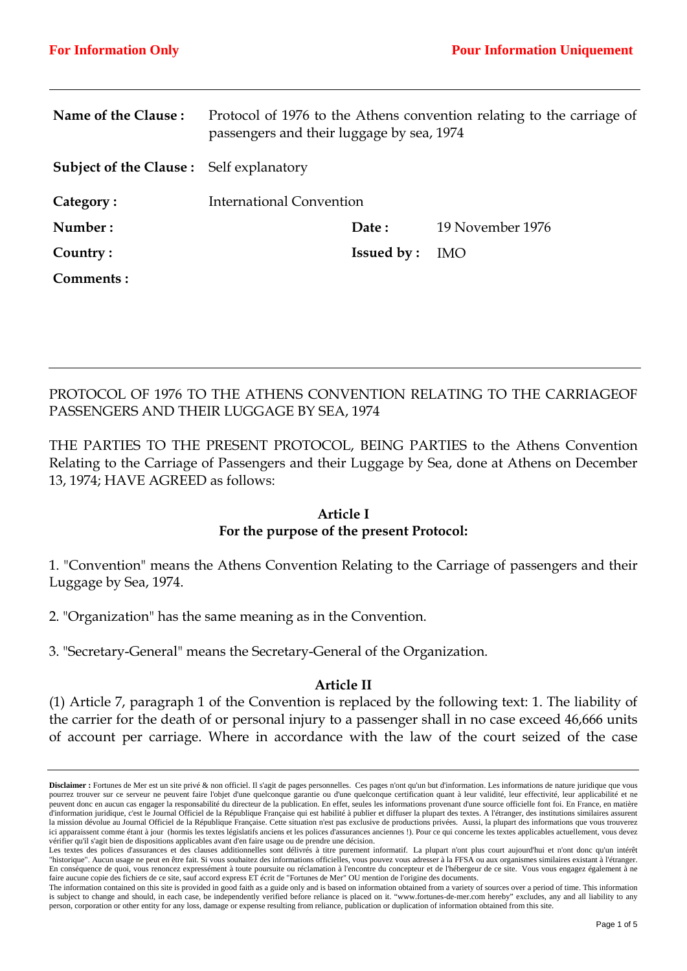| Name of the Clause:                            | Protocol of 1976 to the Athens convention relating to the carriage of<br>passengers and their luggage by sea, 1974 |                   |                  |
|------------------------------------------------|--------------------------------------------------------------------------------------------------------------------|-------------------|------------------|
| <b>Subject of the Clause:</b> Self explanatory |                                                                                                                    |                   |                  |
| Category:                                      | International Convention                                                                                           |                   |                  |
| Number:                                        |                                                                                                                    | Date:             | 19 November 1976 |
| Country:                                       |                                                                                                                    | <b>Issued by:</b> | <b>IMO</b>       |
| Comments:                                      |                                                                                                                    |                   |                  |

PROTOCOL OF 1976 TO THE ATHENS CONVENTION RELATING TO THE CARRIAGEOF PASSENGERS AND THEIR LUGGAGE BY SEA, 1974

THE PARTIES TO THE PRESENT PROTOCOL, BEING PARTIES to the Athens Convention Relating to the Carriage of Passengers and their Luggage by Sea, done at Athens on December 13, 1974; HAVE AGREED as follows:

#### **Article I**

### **For the purpose of the present Protocol:**

1. "Convention" means the Athens Convention Relating to the Carriage of passengers and their Luggage by Sea, 1974.

2. "Organization" has the same meaning as in the Convention.

3. "Secretary-General" means the Secretary-General of the Organization.

### **Article II**

(1) Article 7, paragraph 1 of the Convention is replaced by the following text: 1. The liability of the carrier for the death of or personal injury to a passenger shall in no case exceed 46,666 units of account per carriage. Where in accordance with the law of the court seized of the case

**Disclaimer :** Fortunes de Mer est un site privé & non officiel. Il s'agit de pages personnelles. Ces pages n'ont qu'un but d'information. Les informations de nature juridique que vous pourrez trouver sur ce serveur ne peuvent faire l'objet d'une quelconque garantie ou d'une quelconque certification quant à leur validité, leur effectivité, leur applicabilité et ne peuvent donc en aucun cas engager la responsabilité du directeur de la publication. En effet, seules les informations provenant d'une source officielle font foi. En France, en matière d'information juridique, c'est le Journal Officiel de la République Française qui est habilité à publier et diffuser la plupart des textes. A l'étranger, des institutions similaires assurent la mission dévolue au Journal Officiel de la République Française. Cette situation n'est pas exclusive de productions privées. Aussi, la plupart des informations que vous trouverez ici apparaissent comme étant à jour (hormis les textes législatifs anciens et les polices d'assurances anciennes !). Pour ce qui concerne les textes applicables actuellement, vous devez vérifier qu'il s'agit bien de dispositions applicables avant d'en faire usage ou de prendre une décision.

Les textes des polices d'assurances et des clauses additionnelles sont délivrés à titre purement informatif. La plupart n'ont plus court aujourd'hui et n'ont donc qu'un intérêt "historique". Aucun usage ne peut en être fait. Si vous souhaitez des informations officielles, vous pouvez vous adresser à la FFSA ou aux organismes similaires existant à l'étranger. En conséquence de quoi, vous renoncez expressément à toute poursuite ou réclamation à l'encontre du concepteur et de l'hébergeur de ce site. Vous vous engagez également à ne faire aucune copie des fichiers de ce site, sauf accord express ET écrit de "Fortunes de Mer" OU mention de l'origine des documents.

The information contained on this site is provided in good faith as a guide only and is based on information obtained from a variety of sources over a period of time. This information is subject to change and should, in each case, be independently verified before reliance is placed on it. "www.fortunes-de-mer.com hereby" excludes, any and all liability to any person, corporation or other entity for any loss, damage or expense resulting from reliance, publication or duplication of information obtained from this site.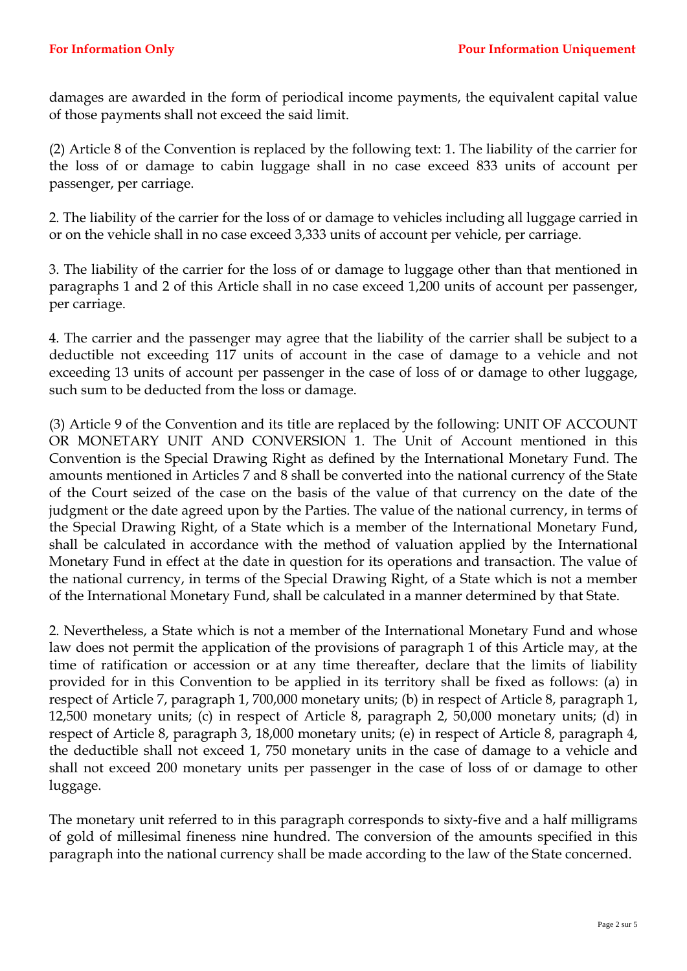damages are awarded in the form of periodical income payments, the equivalent capital value of those payments shall not exceed the said limit.

(2) Article 8 of the Convention is replaced by the following text: 1. The liability of the carrier for the loss of or damage to cabin luggage shall in no case exceed 833 units of account per passenger, per carriage.

2. The liability of the carrier for the loss of or damage to vehicles including all luggage carried in or on the vehicle shall in no case exceed 3,333 units of account per vehicle, per carriage.

3. The liability of the carrier for the loss of or damage to luggage other than that mentioned in paragraphs 1 and 2 of this Article shall in no case exceed 1,200 units of account per passenger, per carriage.

4. The carrier and the passenger may agree that the liability of the carrier shall be subject to a deductible not exceeding 117 units of account in the case of damage to a vehicle and not exceeding 13 units of account per passenger in the case of loss of or damage to other luggage, such sum to be deducted from the loss or damage.

(3) Article 9 of the Convention and its title are replaced by the following: UNIT OF ACCOUNT OR MONETARY UNIT AND CONVERSION 1. The Unit of Account mentioned in this Convention is the Special Drawing Right as defined by the International Monetary Fund. The amounts mentioned in Articles 7 and 8 shall be converted into the national currency of the State of the Court seized of the case on the basis of the value of that currency on the date of the judgment or the date agreed upon by the Parties. The value of the national currency, in terms of the Special Drawing Right, of a State which is a member of the International Monetary Fund, shall be calculated in accordance with the method of valuation applied by the International Monetary Fund in effect at the date in question for its operations and transaction. The value of the national currency, in terms of the Special Drawing Right, of a State which is not a member of the International Monetary Fund, shall be calculated in a manner determined by that State.

2. Nevertheless, a State which is not a member of the International Monetary Fund and whose law does not permit the application of the provisions of paragraph 1 of this Article may, at the time of ratification or accession or at any time thereafter, declare that the limits of liability provided for in this Convention to be applied in its territory shall be fixed as follows: (a) in respect of Article 7, paragraph 1, 700,000 monetary units; (b) in respect of Article 8, paragraph 1, 12,500 monetary units; (c) in respect of Article 8, paragraph 2, 50,000 monetary units; (d) in respect of Article 8, paragraph 3, 18,000 monetary units; (e) in respect of Article 8, paragraph 4, the deductible shall not exceed 1, 750 monetary units in the case of damage to a vehicle and shall not exceed 200 monetary units per passenger in the case of loss of or damage to other luggage.

The monetary unit referred to in this paragraph corresponds to sixty-five and a half milligrams of gold of millesimal fineness nine hundred. The conversion of the amounts specified in this paragraph into the national currency shall be made according to the law of the State concerned.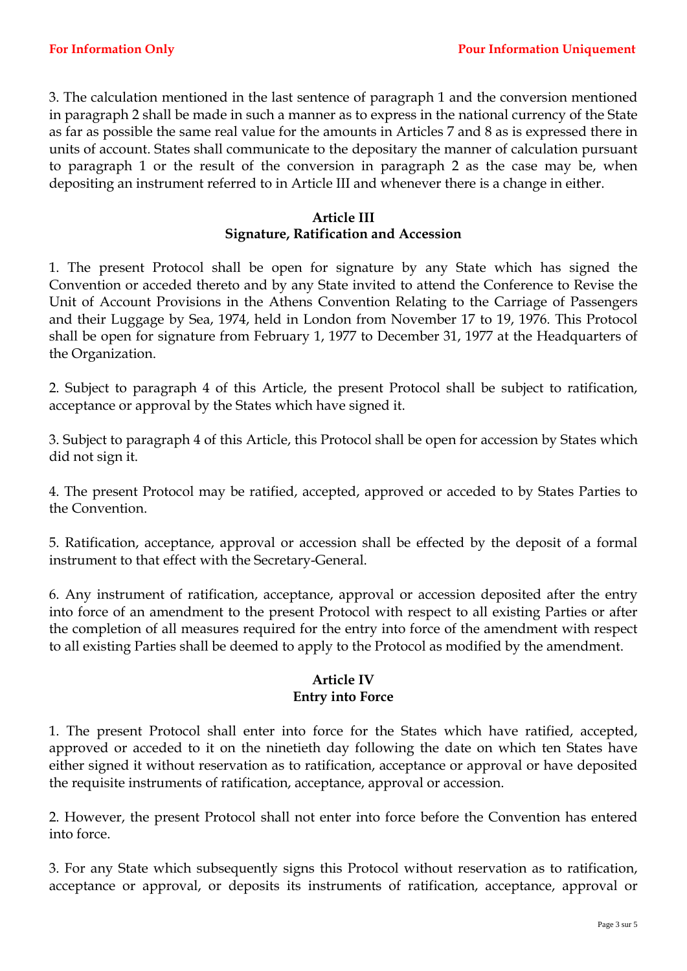3. The calculation mentioned in the last sentence of paragraph 1 and the conversion mentioned in paragraph 2 shall be made in such a manner as to express in the national currency of the State as far as possible the same real value for the amounts in Articles 7 and 8 as is expressed there in units of account. States shall communicate to the depositary the manner of calculation pursuant to paragraph 1 or the result of the conversion in paragraph 2 as the case may be, when depositing an instrument referred to in Article III and whenever there is a change in either.

## **Article III Signature, Ratification and Accession**

1. The present Protocol shall be open for signature by any State which has signed the Convention or acceded thereto and by any State invited to attend the Conference to Revise the Unit of Account Provisions in the Athens Convention Relating to the Carriage of Passengers and their Luggage by Sea, 1974, held in London from November 17 to 19, 1976. This Protocol shall be open for signature from February 1, 1977 to December 31, 1977 at the Headquarters of the Organization.

2. Subject to paragraph 4 of this Article, the present Protocol shall be subject to ratification, acceptance or approval by the States which have signed it.

3. Subject to paragraph 4 of this Article, this Protocol shall be open for accession by States which did not sign it.

4. The present Protocol may be ratified, accepted, approved or acceded to by States Parties to the Convention.

5. Ratification, acceptance, approval or accession shall be effected by the deposit of a formal instrument to that effect with the Secretary-General.

6. Any instrument of ratification, acceptance, approval or accession deposited after the entry into force of an amendment to the present Protocol with respect to all existing Parties or after the completion of all measures required for the entry into force of the amendment with respect to all existing Parties shall be deemed to apply to the Protocol as modified by the amendment.

## **Article IV Entry into Force**

1. The present Protocol shall enter into force for the States which have ratified, accepted, approved or acceded to it on the ninetieth day following the date on which ten States have either signed it without reservation as to ratification, acceptance or approval or have deposited the requisite instruments of ratification, acceptance, approval or accession.

2. However, the present Protocol shall not enter into force before the Convention has entered into force.

3. For any State which subsequently signs this Protocol without reservation as to ratification, acceptance or approval, or deposits its instruments of ratification, acceptance, approval or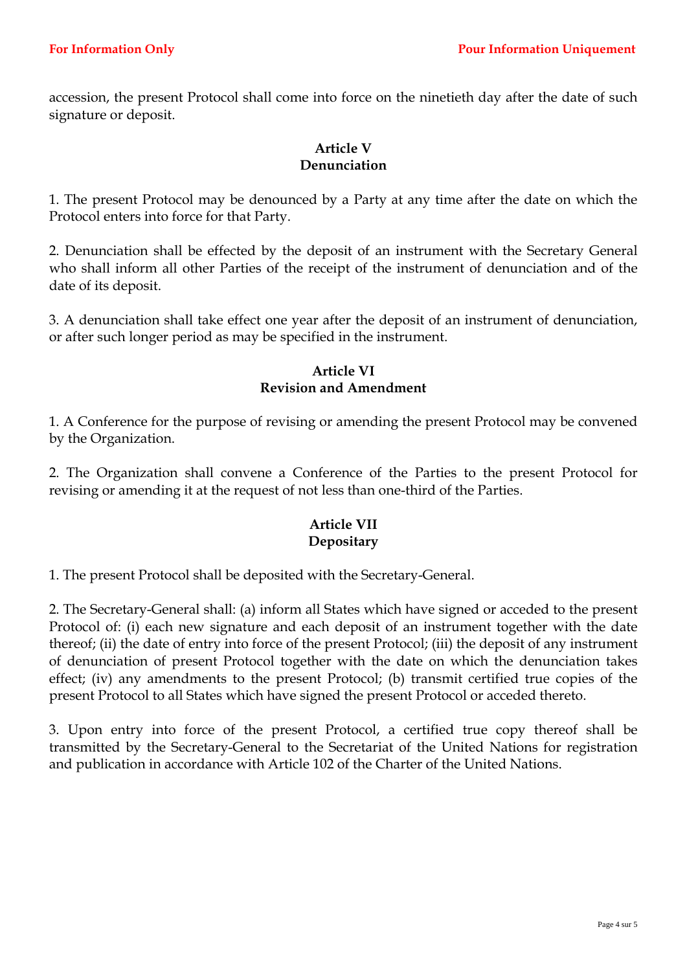accession, the present Protocol shall come into force on the ninetieth day after the date of such signature or deposit.

## **Article V Denunciation**

1. The present Protocol may be denounced by a Party at any time after the date on which the Protocol enters into force for that Party.

2. Denunciation shall be effected by the deposit of an instrument with the Secretary General who shall inform all other Parties of the receipt of the instrument of denunciation and of the date of its deposit.

3. A denunciation shall take effect one year after the deposit of an instrument of denunciation, or after such longer period as may be specified in the instrument.

### **Article VI Revision and Amendment**

1. A Conference for the purpose of revising or amending the present Protocol may be convened by the Organization.

2. The Organization shall convene a Conference of the Parties to the present Protocol for revising or amending it at the request of not less than one-third of the Parties.

# **Article VII Depositary**

1. The present Protocol shall be deposited with the Secretary-General.

2. The Secretary-General shall: (a) inform all States which have signed or acceded to the present Protocol of: (i) each new signature and each deposit of an instrument together with the date thereof; (ii) the date of entry into force of the present Protocol; (iii) the deposit of any instrument of denunciation of present Protocol together with the date on which the denunciation takes effect; (iv) any amendments to the present Protocol; (b) transmit certified true copies of the present Protocol to all States which have signed the present Protocol or acceded thereto.

3. Upon entry into force of the present Protocol, a certified true copy thereof shall be transmitted by the Secretary-General to the Secretariat of the United Nations for registration and publication in accordance with Article 102 of the Charter of the United Nations.